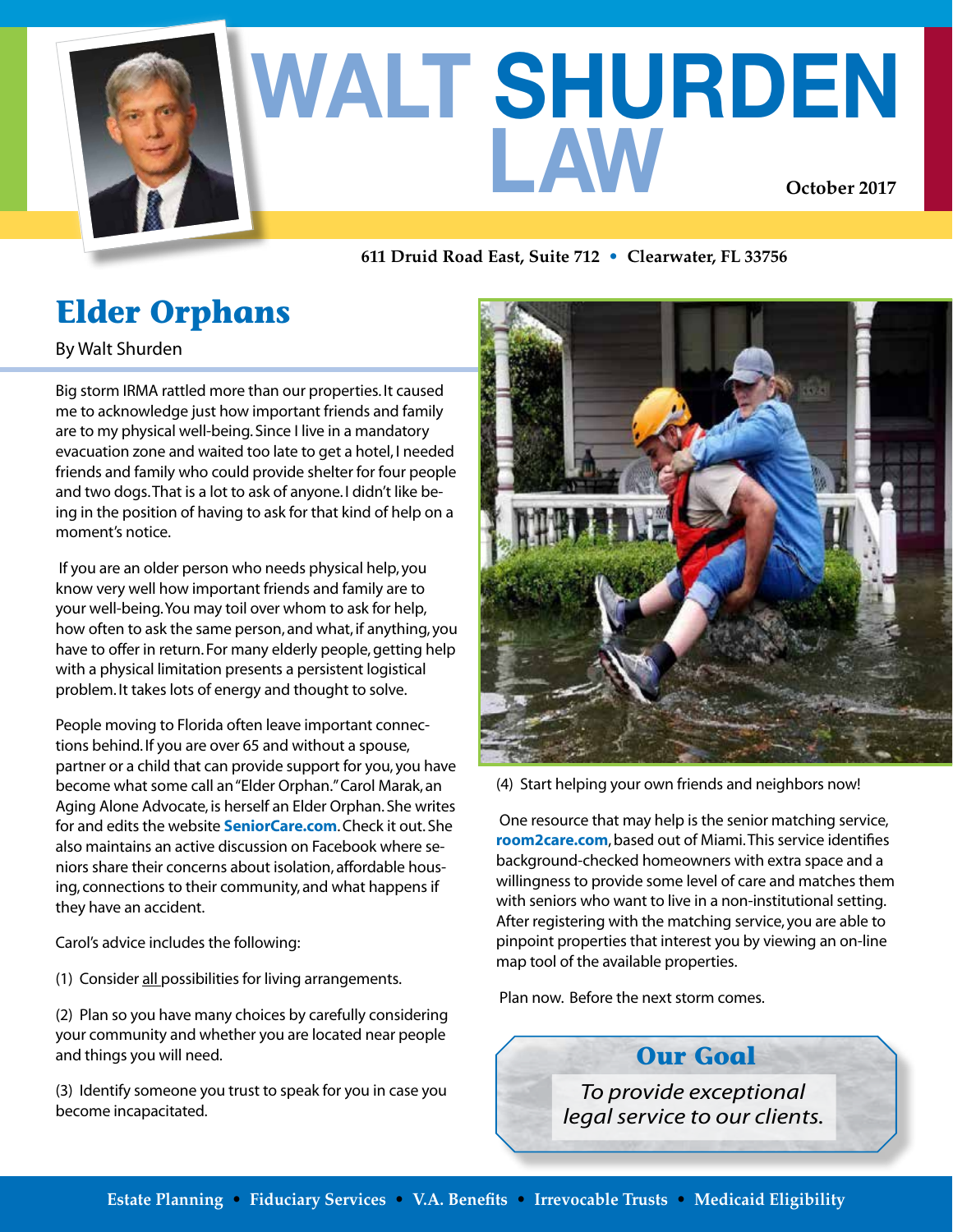

# **WALT SHURDEN LAW October 2017**

**611 Druid Road East, Suite 712 • Clearwater, FL 33756**

# **Elder Orphans**

By Walt Shurden

Big storm IRMA rattled more than our properties. It caused me to acknowledge just how important friends and family are to my physical well-being. Since I live in a mandatory evacuation zone and waited too late to get a hotel, I needed friends and family who could provide shelter for four people and two dogs. That is a lot to ask of anyone. I didn't like being in the position of having to ask for that kind of help on a moment's notice.

If you are an older person who needs physical help, you know very well how important friends and family are to your well-being. You may toil over whom to ask for help, how often to ask the same person, and what, if anything, you have to offer in return. For many elderly people, getting help with a physical limitation presents a persistent logistical problem. It takes lots of energy and thought to solve.

People moving to Florida often leave important connections behind. If you are over 65 and without a spouse, partner or a child that can provide support for you, you have become what some call an "Elder Orphan." Carol Marak, an Aging Alone Advocate, is herself an Elder Orphan. She writes for and edits the website **SeniorCare.com**. Check it out. She also maintains an active discussion on Facebook where seniors share their concerns about isolation, affordable housing, connections to their community, and what happens if they have an accident.

Carol's advice includes the following:

(1) Consider all possibilities for living arrangements.

(2) Plan so you have many choices by carefully considering your community and whether you are located near people and things you will need.

(3) Identify someone you trust to speak for you in case you become incapacitated.



(4) Start helping your own friends and neighbors now!

One resource that may help is the senior matching service, **room2care.com**, based out of Miami. This service identifies background-checked homeowners with extra space and a willingness to provide some level of care and matches them with seniors who want to live in a non-institutional setting. After registering with the matching service, you are able to pinpoint properties that interest you by viewing an on-line map tool of the available properties.

Plan now. Before the next storm comes.

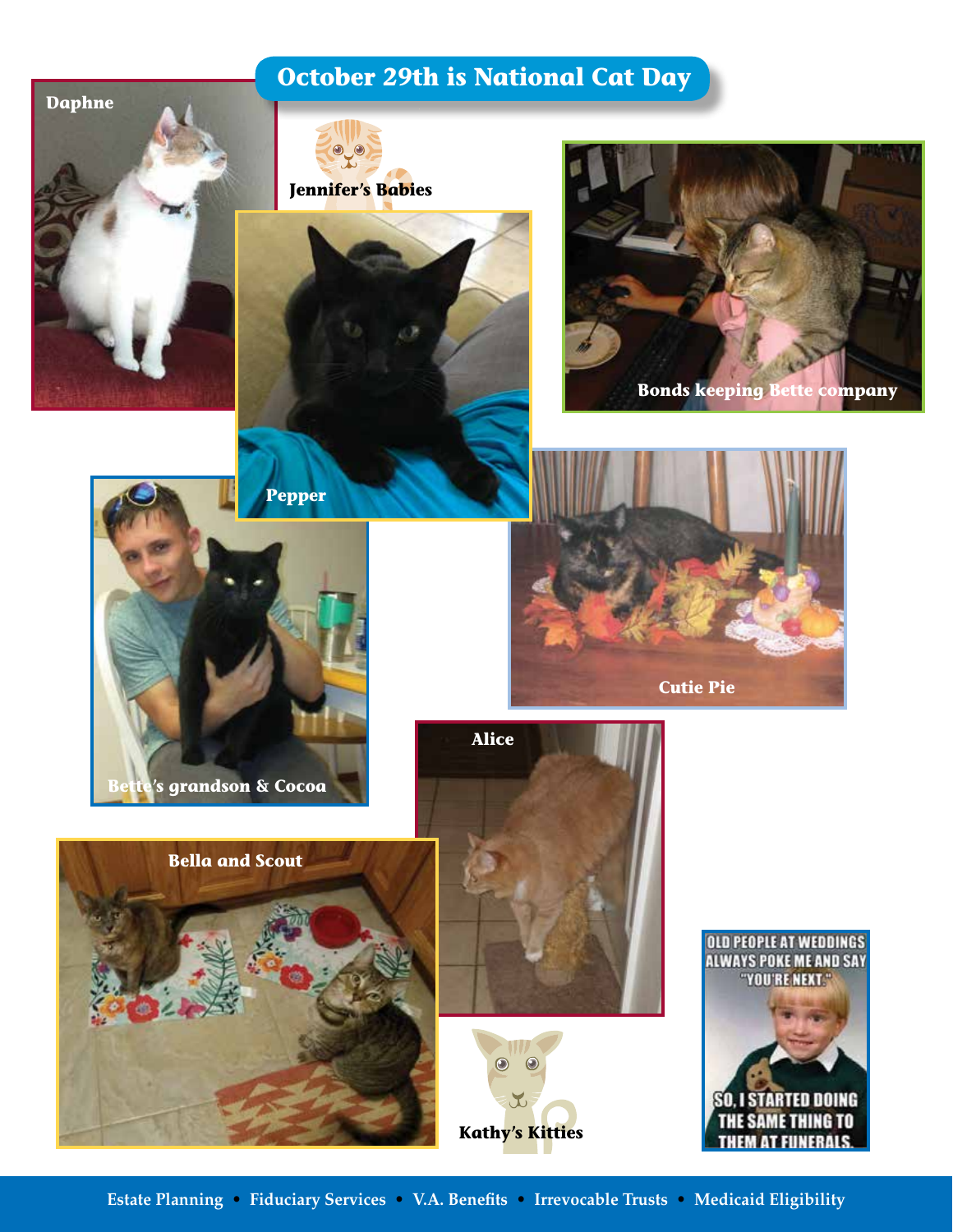### **October 29th is National Cat Day**



**Estate Planning • Fiduciary Services • V.A. Benefits • Irrevocable Trusts • Medicaid Eligibility**

**Kathy's Kitties**

 $\mathbf{r}$ 

SO. I STARTED DOING **THE SAME THING TO THEM AT FUNERALS** 

 $\begin{array}{c} \bullet \\ \bullet \end{array}$  $\bullet$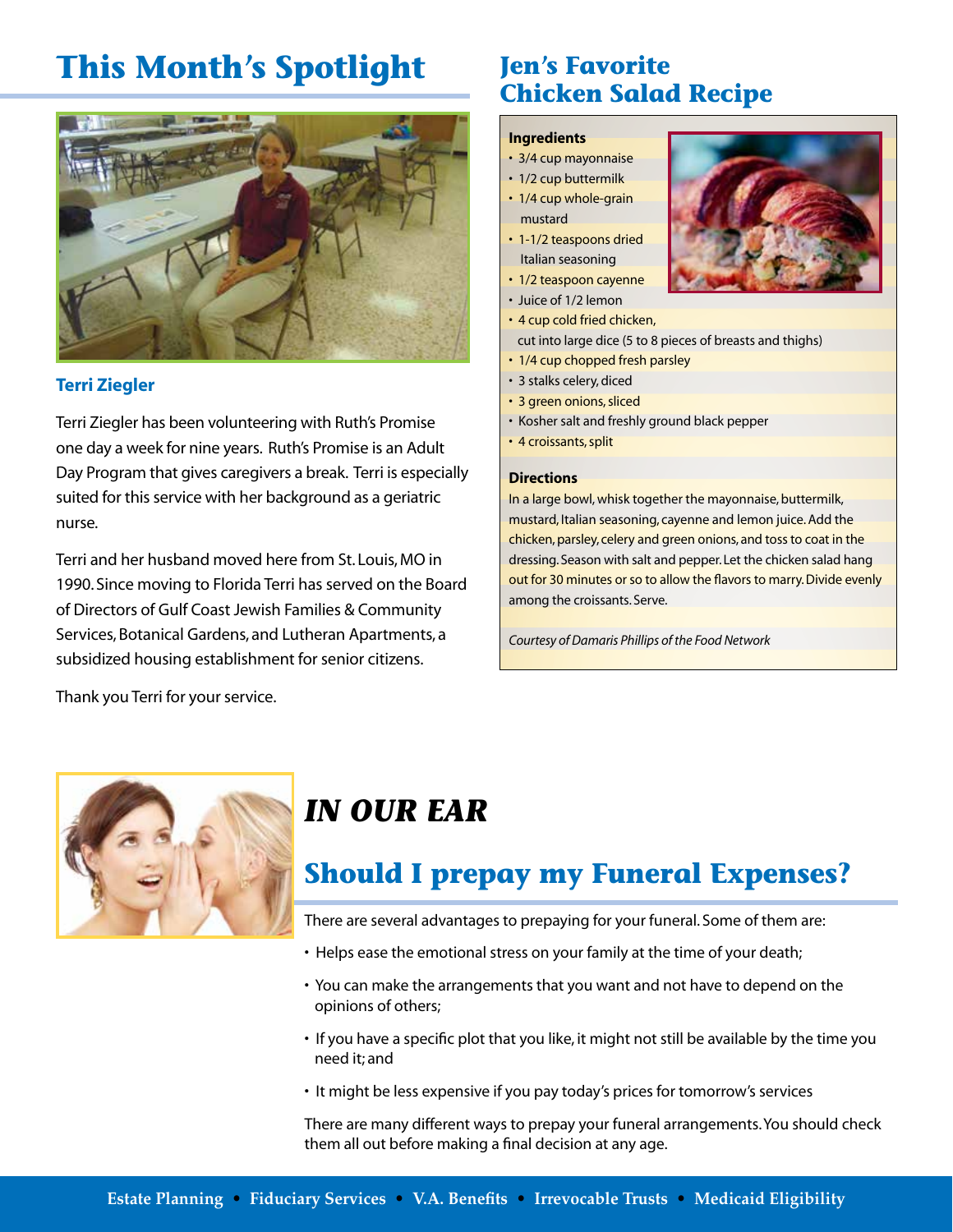## **This Month's Spotlight**



#### **Terri Ziegler**

Terri Ziegler has been volunteering with Ruth's Promise one day a week for nine years. Ruth's Promise is an Adult Day Program that gives caregivers a break. Terri is especially suited for this service with her background as a geriatric nurse.

Terri and her husband moved here from St. Louis, MO in 1990. Since moving to Florida Terri has served on the Board of Directors of Gulf Coast Jewish Families & Community Services, Botanical Gardens, and Lutheran Apartments, a subsidized housing establishment for senior citizens.

**Jen's Favorite Chicken Salad Recipe**

#### **Ingredients**

- 3/4 cup mayonnaise
- 1/2 cup buttermilk
- 1/4 cup whole-grain mustard
- 1-1/2 teaspoons dried Italian seasoning
- 1/2 teaspoon cayenne
- Juice of 1/2 lemon
- 4 cup cold fried chicken,
- cut into large dice (5 to 8 pieces of breasts and thighs)
- 1/4 cup chopped fresh parsley
- 3 stalks celery, diced
- 3 green onions, sliced
- Kosher salt and freshly ground black pepper
- 4 croissants, split

#### **Directions**

In a large bowl, whisk together the mayonnaise, buttermilk, mustard, Italian seasoning, cayenne and lemon juice. Add the chicken, parsley, celery and green onions, and toss to coat in the dressing. Season with salt and pepper. Let the chicken salad hang out for 30 minutes or so to allow the flavors to marry. Divide evenly among the croissants. Serve.

*Courtesy of Damaris Phillips of the Food Network*

Thank you Terri for your service.



## *IN OUR EAR*

### **Should I prepay my Funeral Expenses?**

There are several advantages to prepaying for your funeral. Some of them are:

- Helps ease the emotional stress on your family at the time of your death;
- You can make the arrangements that you want and not have to depend on the opinions of others;
- If you have a specific plot that you like, it might not still be available by the time you need it; and
- It might be less expensive if you pay today's prices for tomorrow's services

There are many different ways to prepay your funeral arrangements. You should check them all out before making a final decision at any age.